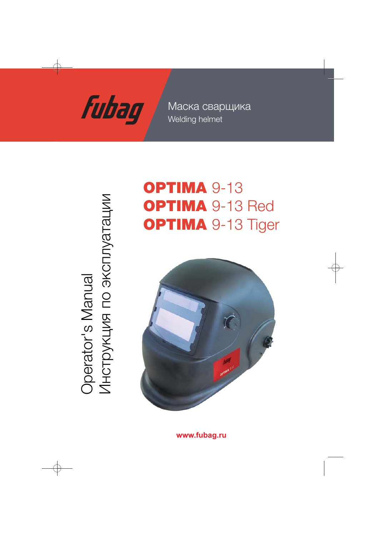

Welding helmet Маска сварщика

Operator's Manual<br>Инструкция по эксплуатации Инструкция по эксплуатации Operator's Manual

# OPTIMA 9-13 OPTIMA 9-13 Red **OPTIMA 9-13 Tiger**



**www.fubag.ru**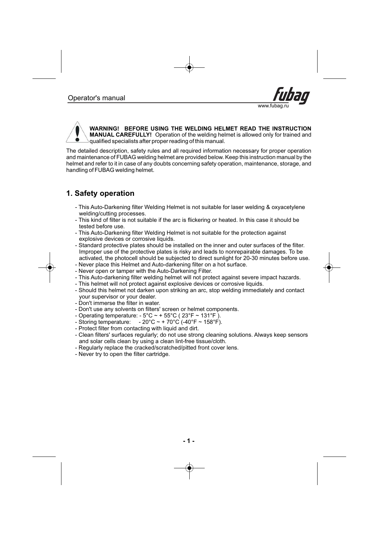



WARNING! BEFORE USING THE WELDING HELMET READ THE INSTRUCTION **MANUAL CAREFULLY!** Operation of the welding helmet is allowed only for trained and qualified specialists after proper reading of this manual.

The detailed description, safety rules and all required information necessary for proper operation and maintenance of FUBAG welding helmet are provided below. Keep this instruction manual by the helmet and refer to it in case of any doubts concerning safety operation, maintenance, storage, and handling of FUBAG welding helmet.

### **1. Safety peration o**

- This Auto-Darkening filter Welding Helmet is not suitable for laser welding & oxyacetylene welding/cutting processes.
- This kind of filter is not suitable if the arc is flickering or heated. In this case it should be tested before use.
- This Auto-Darkening filter Welding Helmet is not suitable for the protection against explosive devices or corrosive liquids.
- Standard protective plates should be installed on the inner and outer surfaces of the filter. Improper use of the protective plates is risky and leads to nonrepairable damages. To be activated, the photocell should be subjected to direct sunlight for 20-30 minutes before use.
- Never place this Helmet and Auto-darkening filter on a hot surface. -
- Never open or tamper with the Auto-Darkening Filter. -
- This Auto-darkening filter welding helmet will not protect against severe impact hazards. -
- This helmet will not protect against explosive devices or corrosive liquids. -
- Should this helmet not darken upon striking an arc, stop welding immediately and contact your supervisor or your dealer.
- Don't immerse the filter in water.
- Don't use any solvents on filters' screen or helmet components. -
- Operating temperature: 5°C ~ + 55°C ( 23°F ~ 131°F ).
- Storing temperature:  $-20^{\circ}$ C ~ + 70 $^{\circ}$ C (-40 $^{\circ}$ F ~ 158 $^{\circ}$ F). - Storing temperature:
- Protect filter from contacting with liquid and dirt.
- Clean filters' surfaces regularly; do not use strong cleaning solutions. Always keep sensors and solar cells clean by using a clean lint-free tissue/cloth.
- Regularly replace the cracked/scratched/pitted front cover lens. -
- Never try to open the filter cartridge. -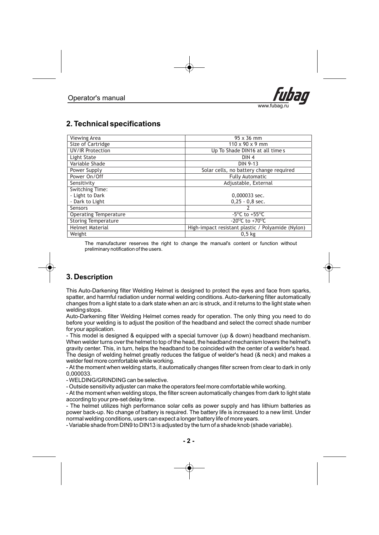

# **2. Technical specifications**

| Viewing Area                 | 95 x 36 mm                                        |
|------------------------------|---------------------------------------------------|
| Size of Cartridge            | $110 \times 90 \times 9$ mm                       |
| UV/IR Protection             | Up To Shade DIN16 at all times                    |
| Light State                  | DIN <sub>4</sub>                                  |
| Variable Shade               | DIN 9-13                                          |
| Power Supply                 | Solar cells, no battery change required           |
| Power On/Off                 | <b>Fully Automatic</b>                            |
| Sensitivity                  | Adjustable, External                              |
| Switching Time:              |                                                   |
| - Light to Dark              | 0,000033 sec.                                     |
| - Dark to Light              | $0,25 - 0,8$ sec.                                 |
| Sensors                      |                                                   |
| <b>Operating Temperature</b> | $-5^{\circ}$ C to $+55^{\circ}$ C                 |
| <b>Storing Temperature</b>   | $-20^{\circ}$ C to $+70^{\circ}$ C                |
| <b>Helmet Material</b>       | High-impact resistant plastic / Polyamide (Nylon) |
| Weight                       | 0.5 <sub>kg</sub>                                 |

The manufacturer reserves the right to change the manual's content or function without . preliminary notification of the users

## **3. Description**

This Auto-Darkening filter Welding Helmet is designed to protect the eyes and face from sparks, spatter, and harmful radiation under normal welding conditions. Auto-darkening filter automatically changes from a light state to a dark state when an arc is struck, and it returns to the light state when welding stops.

Auto-Darkening filter Welding Helmet comes ready for operation. The only thing you need to do before your welding is to adjust the position of the headband and select the correct shade number for your application.

- This model is designed & equipped with a special turnover (up & down) headband mechanism. When welder turns over the helmet to top of the head, the headband mechanism lowers the helmet's . gravity center. This, in turn, helps the headband to be coincided with the center of a welder's head The design of welding helmet greatly reduces the fatigue of welder's head (& neck) and makes a welder feel more comfortable while working.

- At the moment when welding starts, it automatically changes filter screen from clear to dark in only . 0,000033

- WELDING/GRINDING can be selective.

- Outside sensitivity adjuster can make the operators feel more comfortable while working.

- At the moment when welding stops, the filter screen automatically changes from dark to light state according to your pre-set delay time.

The helmet utilizes high performance solar cells as power supply and has lithium batteries as power back-up. No change of battery is required. The battery life is increased to a new limit. Under normal welding conditions, users can expect a longer battery life of more years.

- Variable shade from DIN9 to DIN13 is adjusted by the turn of a shade knob (shade variable).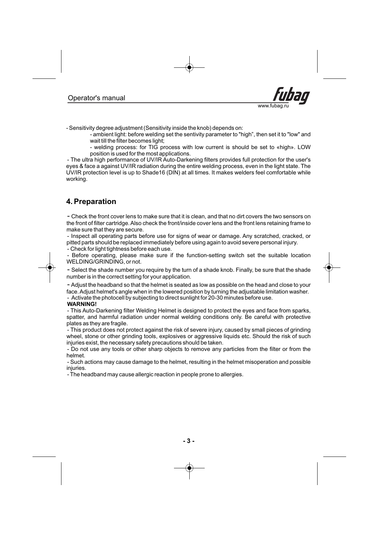

- Sensitivity degree adjustment (Sensitivity inside the knob) depends on:

- ambient light: before welding set the sentivity parameter to "high", then set it to "low" and wait till the filter becomes light;

- welding process: for TIG process with low current is should be set to «high». LOW position is used for the most applications.

- The ultra high performance of UV/IR Auto-Darkening filters provides full protection for the user's eyes & face a against UV/IR radiation during the entire welding process, even in the light state. The UV/IR protection level is up to Shade16 (DIN) at all times. It makes welders feel comfortable while working .

# **4. Preparation**

- Check the front cover lens to make sure that it is clean, and that no dirt covers the two sensors on the front of filter cartridge.Also check the front/inside cover lens and the front lens retaining frame to make sure that they are secure.

- Inspect all operating parts before use for signs of wear or damage. Any scratched, cracked, or pitted parts should be replaced immediately before using again to avoid severe personal injury.

Check for light tightness before each use. -

- Before operating, please make sure if the function-setting switch set the suitable location WELDING/GRINDING, or not.

- Select the shade number you require by the turn of a shade knob. Finally, be sure that the shade number is in the correct setting for your application.

- Adjust the headband so that the helmet is seated as low as possible on the head and close to your face.Adjust helmet's angle when in the lowered position by turning the adjustable limitation washer. - Activate the photocell by subjecting to direct sunlight for 20-30 minutes before use.

### **WARNING!**

- This Auto-Darkening filter Welding Helmet is designed to protect the eyes and face from sparks, spatter, and harmful radiation under normal welding conditions only. Be careful with protective plates as they are fragile.

- This product does not protect against the risk of severe injury, caused by small pieces of grinding wheel, stone or other grinding tools, explosives or aggressive liquids etc. Should the risk of such injuries exist, the necessary safety precautions should be taken.

- Do not use any tools or other sharp objects to remove any particles from the filter or from the helmet.

- Such actions may cause damage to the helmet, resulting in the helmet misoperation and possible iniuries.

- The headband may cause allergic reaction in people prone to allergies.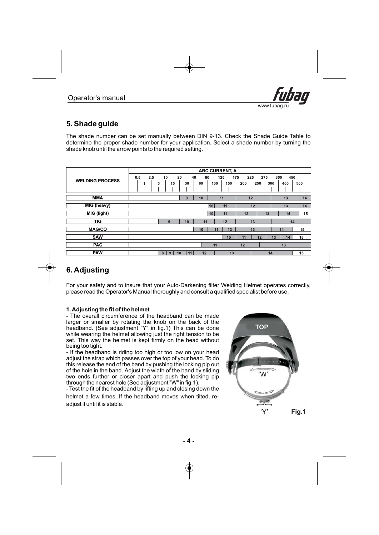

# **5. Shade guide**

The shade number can be set manually between DIN 9-13. Check the Shade Guide Table to determine the proper shade number for your application. Select a shade number by turning the shade knob until the arrow points to the required setting.

|                        | <b>ARC CURRENT, A</b> |               |          |                |                   |                                 |                          |     |
|------------------------|-----------------------|---------------|----------|----------------|-------------------|---------------------------------|--------------------------|-----|
| <b>WELDING PROCESS</b> | 0,5<br>2,5<br>1       | 10<br>5<br>15 | 20<br>30 | 80<br>40<br>60 | 125<br>150<br>100 | 175<br>225<br>275<br>200<br>250 | 450<br>350<br>300<br>400 | 500 |
| <b>MMA</b>             |                       |               | 9        | 10             | 11                | 12                              | 13                       | 14  |
| MIG (heavy)            |                       |               |          |                | 10<br>11          | 12                              | 13                       | 14  |
| MIG (light)            |                       |               |          |                | 10<br>11          | 12<br>13                        | 14                       | 15  |
| <b>TIG</b>             |                       | 9             | 10       | 11             | 12                | 13                              | 14                       |     |
| <b>MAG/CO</b>          |                       |               |          | 10             | 12<br>11          | 13                              | 14                       | 15  |
| <b>SAW</b>             |                       |               |          |                | 10                | 12<br>11                        | 13<br>14                 | 15  |
| <b>PAC</b>             |                       |               |          |                | 11                | 12                              | 13                       |     |
| <b>PAW</b>             |                       | 8<br>9        | 10<br>11 | 12             | 13                |                                 | 14                       | 15  |

# **6. Adjusting**

For your safety and to insure that your Auto-Darkening filter Welding Helmet operates correctly, please read the Operator's Manual thoroughly and consult a qualified specialist before use.

### **1 Adjusting the fit of the helmet .**

- The overall circumference of the headband can be made larger or smaller by rotating the knob on the back of the headband. (See adjustment "Y" in fig.1) This can be done while wearing the helmet allowing just the right tension to be set . This way the helmet is kept firmly on the head without . being too tight

- If the headband is riding too high or too low on your head adjust the strap which passes over the top of your head. To do this release the end of the band by pushing the locking pip out of the hole in the band. Adjust the width of the band by sliding two ends further or closer apart and push the locking pip through the nearest hole (See adjustment "W" in fig.1).

- Test the fit of the headband by lifting up and closing down the helmet a few times. If the headband moves when tilted, readjust it until it is stable.

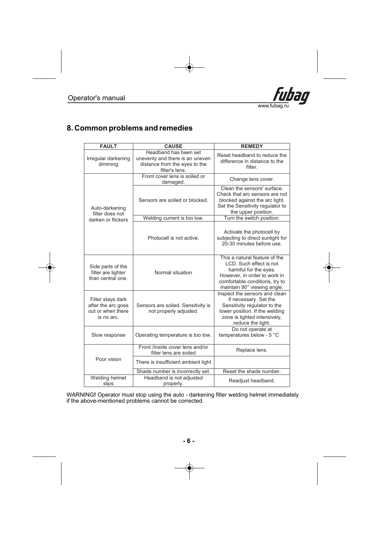

### **8. Common problems and remedies**

| <b>FAULT</b>                                                               | <b>CAUSE</b>                                                                                                | <b>REMEDY</b>                                                                                                                                                                      |  |  |
|----------------------------------------------------------------------------|-------------------------------------------------------------------------------------------------------------|------------------------------------------------------------------------------------------------------------------------------------------------------------------------------------|--|--|
| Irregular darkening<br>dimming                                             | Headband has been set<br>unevenly and there is an uneven<br>distance from the eyes to the<br>filter's lens. | Reset headband to reduce the<br>difference in distance to the<br>filter.                                                                                                           |  |  |
|                                                                            | Front cover lens is soiled or<br>damaged.                                                                   | Change lens cover.                                                                                                                                                                 |  |  |
| Auto-darkening<br>filter does not                                          | Sensors are soiled or blocked.                                                                              | Clean the sensors' surface.<br>Check that arc sensors are not<br>blocked against the arc light.<br>Set the Sensitivity regulator to<br>the upper position.                         |  |  |
| darken or flickers                                                         | Welding current is too low.                                                                                 | Turn the switch position.                                                                                                                                                          |  |  |
|                                                                            | Photocell is not active.                                                                                    | Activate the photocell by<br>subjecting to direct sunlight for<br>20-30 minutes before use.                                                                                        |  |  |
| Side parts of the<br>filter are lighter<br>than central one.               | Normal situation                                                                                            | This a natural feature of the<br>LCD. Such effect is not<br>harmful for the eyes.<br>However, in order to work in<br>comfortable conditions, try to<br>maintain 90° viewing angle. |  |  |
| Filter stays dark<br>after the arc goes<br>out or when there<br>is no arc. | Sensors are soiled. Sensitivity is<br>not properly adjusted.                                                | Inspect the sensors and clean<br>if necessary. Set the<br>Sensitivity regulator to the<br>lower position. If the welding<br>zone is lighted intensively,<br>reduce the light.      |  |  |
| Slow response                                                              | Operating temperature is too low.                                                                           | Do not operate at<br>temperatures below - 5 °C                                                                                                                                     |  |  |
| Poor vision                                                                | Front /inside cover lens and/or<br>filter lens are soiled                                                   | Replace lens.                                                                                                                                                                      |  |  |
|                                                                            | There is insufficient ambient light                                                                         |                                                                                                                                                                                    |  |  |
|                                                                            | Shade number is incorrectly set.                                                                            | Reset the shade number.                                                                                                                                                            |  |  |
| Welding helmet<br>slips                                                    | Headband is not adjusted<br>properly.                                                                       | Readjust headband.                                                                                                                                                                 |  |  |

WARNING**!** Operator must stop using the auto - darkening filter welding helmet immediately if the above-mentioned problems cannot be corrected.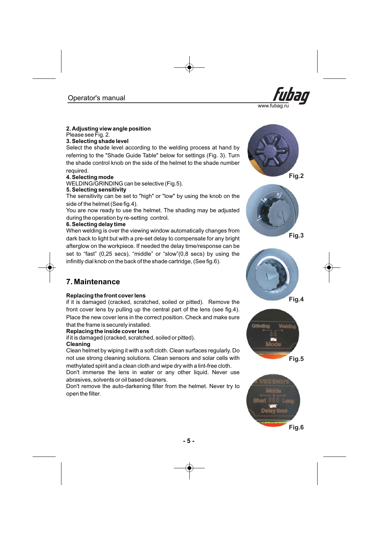

### **2 Adjusting view angle position .**

Please see Fig. 2.

#### **3 electing shade level . S**

Select the shade level according to the welding process at hand by referring to the "Shade Guide Table" below for settings (Fig. 3). Turn the shade control knob on the side of the helmet to the shade number required.

### **4. Selecting mode**

WELDING/GRINDING can be selective (Fig.5).

### **5. Selecting sensitivity**

The sensitivity can be set to "high" or "low" by using the knob on the side of the helmet (See fig.4).

You are now ready to use the helmet. The shading may be adjusted during the operation by re-setting control.

### **6. Selecting delay time**

When welding is over the viewing window automatically changes from afterglow on the workpiece. If needed the delay time/response can be set to "fast" (0,25 secs), "middle" or "slow"(0,8 secs) by using the infinitly dial knob on the back of the shade cartridge, (See fig.6). dark back to light but with a pre-set delay to compensate for any bright

### **7. Maintenance**

### **eplacing the front cover lens R**

if it is damaged (cracked, scratched, soiled or pitted). Remove the front cover lens by pulling up the central part of the lens (see fig.4). Place the new cover lens in the correct position. Check and make sure that the frame is securely installed.

#### **eplacing the inside cover lens R**

. if it is damaged (cracked, scratched, soiled or pitted)

**leaning C** Clean helmet by wiping it with a soft cloth. Clean surfaces regularly. Do not use strong cleaning solutions. Clean sensors and solar cells with

methylated spirit and a clean cloth and wipe dry with a lint-free cloth.

Don't immerse the lens in water or any other liquid. Never use abrasives, solvents or oil based cleaners.

Don't remove the auto-darkening filter from the helmet. Never try to open the filter.











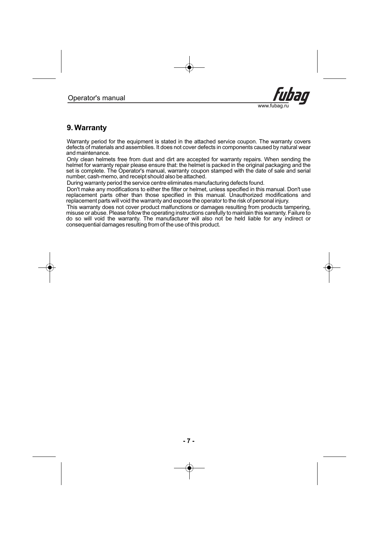# **9. Warranty**

Warranty period for the equipment is stated in the attached service coupon. The warranty covers defects of materials and assemblies . It does not cover defects in components caused by natural wear . and maintenance

Only clean helmets free from dust and dirt are accepted for warranty repairs. When sending the helmet for warranty repair please ensure that: the helmet is packed in the original packaging and the set is complete. The Operator's manual, warranty coupon stamped with the date of sale and serial . number, cash-memo, and receipt should also be attached

During warranty period the service centre eliminates manufacturing defects found.

Don't make any modifications to either the filter or helmet, unless specified in this manual. Don't use replacement parts other than those specified in this manual. Unauthorized modifications and replacement parts will void the warranty and expose the operator to the risk of personal injury.

This warranty does not cover product malfunctions or damages resulting from products tampering, misuse or abuse. Please follow the operating instructions carefully to maintain this warranty. Failure to do so will void the warranty. The manufacturer will also not be held liable for any indirect or consequential damages resulting from of the use of this product.

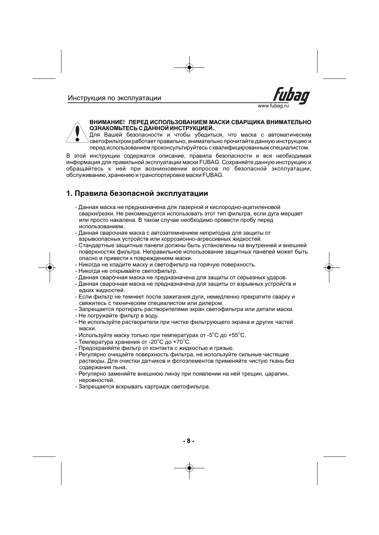



### **ВНИМАНИЕ! ПЕРЕД ИСПОЛЬЗОВАНИЕМ МАСКИ СВАРЩИКА ВНИМАТЕЛЬНО ОЗНАКОМЬТЕСЬ С ДАННОЙ ИНСТРУКЦИЕЙ.**

Для Вашей безопасности и чтобы убедиться, что маска с автоматическим светофильтром работает правильно, внимательно прочитайте данную инструкцию и перед использованием проконсультируйтесь с квалифицированным специалистом.

В этой инструкции содержатся описание, правила безопасности и вся необходимая информация для правильной эксплуатации маски FUBAG. Сохраняйте данную инструкцию и обращайтесь к ней при возникновении вопросов по безопасной эксплуатации, обслуживанию, хранению и транспортировке маски FUBAG.

## **1. Правила безопасной эксплуатации**

- Данная маска не предназначена для лазерной и кислородно-ацетиленовой сварки/резки. Не рекомендуется использовать этот тип фильтра, если дуга мерцает или просто накалена. В таком случае необходимо провести пробу перед использованием.
- Данная сварочная маска с автозатемнением непригодна для защиты от взрывоопасных устройств или коррозионно-агрессивных жидкостей.
- Стандартные защитные панели должны быть установлены на внутренней и внешней поверхностях фильтра. Неправильное использование защитных панелей может быть опасно и привести к повреждениям маски.
- Никогда не кладите маску и светофильтр на горячую поверхность.
- Никогда не открывайте светофильтр.
- Данная сварочная маска не предназначена для защиты от серьезных ударов.
- Данная сварочная маска не предназначена для защиты от взрывных устройств и едких жидкостей.
- Если фильтр не темнеет после зажигания дуги, немедленно прекратите сварку и свяжитесь с техническим специалистом или дилером.
- Запрещается протирать растворителями экран светофильтра или детали маски.
- Не погружайте фильтр в воду.
- Не используйте растворители при чистке фильтрующего экрана и других частей маски.
- Используйте маску только при температурах от -5 $^{\circ}$ C до +55 $^{\circ}$ C.
- Температура хранения от -20 $^{\circ}$ C до +70 $^{\circ}$ C.
- Предохраняйте фильтр от контакта с жидкостью и грязью.
- Регулярно очищайте поверхность фильтра, не используйте сильные чистящие растворы. Для очистки датчиков и фотоэлементов применяйте чистую ткань без содержания льна.
- Регулярно заменяйте внешнюю линзу при появлении на ней трещин, царапин, неровностей.
- Запрещается вскрывать картридж светофильтра.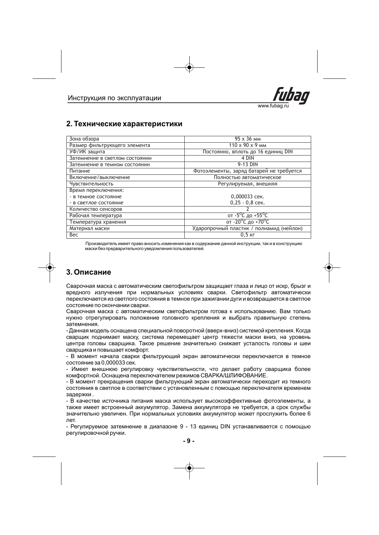

### **2. Технические характеристики**

| Зона обзора                    | 95 x 36 MM                                  |
|--------------------------------|---------------------------------------------|
| Размер фильтрующего элемента   | 110 x 90 x 9 MM                             |
| УФ/ИК защита                   | Постоянно, вплоть до 16 единиц DIN          |
| Затемнение в светлом состоянии | 4 DIN                                       |
| Затемнение в темном состоянии  | 9-13 DIN                                    |
| Питание                        | Фотоэлементы, заряд батарей не требуется    |
| Включение/выключение           | Полностью автоматическое                    |
| Чувствительность               | Регулируемая, внешняя                       |
| Время переключения:            |                                             |
| - в темное состояние           | 0,000033 сек.                               |
| - в светлое состояние          | $0.25 - 0.8$ сек.                           |
| Количество сенсоров            |                                             |
| Рабочая температура            | от -5 <sup>o</sup> С до +55 <sup>o</sup> С  |
| Температура хранения           | от -20 <sup>°</sup> С до +70 <sup>°</sup> С |
| Материал маски                 | Ударопрочный пластик / полиамид (нейлон)    |
| Bec                            | $0,5$ $\kappa$ $\Gamma$                     |

Производитель имеет право вносить изменения как в содержание данной инструкции, так и в конструкцию маски без предварительного уведомления пользователей.

## **3. Описание**

Сварочная маска с автоматическим светофильтром защищает глаза и лицо от искр, брызг и вредного излучения при нормальных условиях сварки. Светофильтр автоматически переключается из светлого состояния в темное при зажигании дуги и возвращается в светлое состояние по окончании сварки.

Сварочная маска с автоматическим светофильтром готова к использованию. Вам только нужно отрегулировать положение головного крепления и выбрать правильную степень затемнения.

- Данная модель оснащена специальной поворотной (вверх-вниз) системой крепления. Когда сварщик поднимает маску, система перемещает центр тяжести маски вниз, на уровень центра головы сварщика. Такое решение значительно снижает усталость головы и шеи сварщика и повышает комфорт.

- В момент начала сварки фильтрующий экран автоматически переключается в темное состояние за 0,000033 сек.

- Имеет внешнюю регулировку чувствительности, что делает работу сварщика более комфортной. Оснащена переключателем режимов СВАРКА/ШЛИФОВАНИЕ.

- В момент прекращения сварки фильтрующий экран автоматически переходит из темного состояния в светлое в соответствии с установленным с помощью переключателя временем задержки .

- В качестве источника питания маска использует высокоэффективные фотоэлементы, а также имеет встроенный аккумулятор. Замена аккумулятора не требуется, а срок службы значительно увеличен. При нормальных условиях аккумулятор может прослужить более 6 лет.

- Регулируемое затемнение в диапазоне 9 - 13 единиц DIN устанавливается с помощью регулировочной ручки.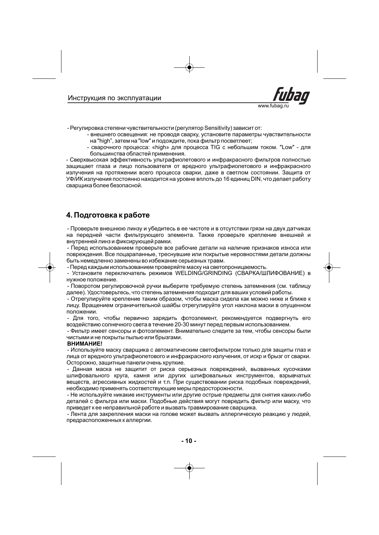

- Регулировка степени чувствительности (регулятор Sensitivity) зависит от:

- внешнего освещения: не проводя сварку, установите параметры чувствительности на "high", затем на "low" и подождите, пока фильтр посветлеет;
- сварочного процесса: «high» для процесса TIG с небольшим током. "Low" для большинства областей применения.

Сверхвысокая эффективность ультрафиолетового и инфракрасного фильтров полностью защищает глаза и лицо пользователя от вредного ультрафиолетового и инфракрасного излучения на протяжении всего процесса сварки, даже в светлом состоянии. Защита от УФ/ИК излучения постоянно находится на уровне вплоть до 16 единиц DIN, что делает работу сварщика более безопасной.

### **4. Подготовка к работе**

- Проверьте внешнюю линзу и убедитесь в ее чистоте и в отсутствии грязи на двух датчиках на передней части фильтрующего элемента. Также проверьте крепление внешней и внутренней линз и фиксирующей рамки.

- Перед использованием проверьте все рабочие детали на наличие признаков износа или повреждения. Все поцарапанные, треснувшие или покрытые неровностями детали должны быть немедленно заменены во избежание серьезных травм.

- Перед каждым использованием проверяйте маску на светопроницаемость.

- Установите переключатель режимов WELDING/GRINDING (СВАРКА/ШЛИФОВАНИЕ) в нужное положение.

- Поворотом регулировочной ручки выберите требуемую степень затемнения (см. таблицу далее). Удостоверьтесь, что степень затемнения подходит для ваших условий работы.

- Отрегулируйте крепление таким образом, чтобы маска сидела как можно ниже и ближе к лицу. Вращением ограничительной шайбы отрегулируйте угол наклона маски в опущенном положении.

- Для того, чтобы первично зарядить фотоэлемент, рекомендуется подвергнуть его воздействию солнечного света в течение 20-30 минут перед первым использованием.

- Фильтр имеет сенсоры и фотоэлемент. Внимательно следите за тем, чтобы сенсоры были чистыми и не покрыты пылью или брызгами.

#### **ВНИМАНИЕ!**

- Используйте маску сварщика с автоматическим светофильтром только для защиты глаз и лица от вредного ультрафиолетового и инфракрасного излучения, от искр и брызг от сварки. Осторожно, защитные панели очень хрупкие.

- Данная маска не защитит от риска серьезных повреждений, вызванных кусочками шлифовального круга, камня или других шлифовальных инструментов, взрывчатых веществ, агрессивных жидкостей и т.п. При существовании риска подобных повреждений, необходимо применять соответствующие меры предосторожности.

- Не используйте никакие инструменты или другие острые предметы для снятия каких-либо деталей с фильтра или маски. Подобные действия могут повредить фильтр или маску, что приведет к ее неправильной работе и вызвать травмирование сварщика.

- Лента для закрепления маски на голове может вызвать аллергическую реакцию у людей, предрасположенных к аллергии.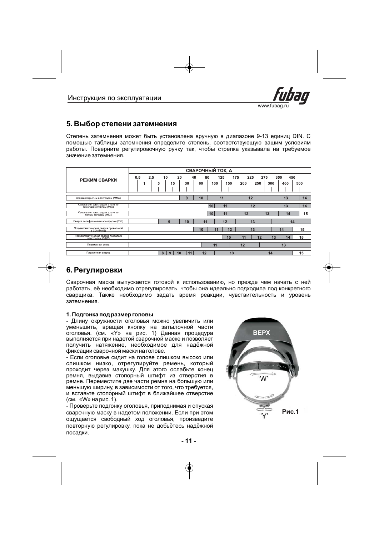

### **5. Выбор степени затемнения**

Степень затемнения может быть установлена вручную в диапазоне 9-13 единиц DIN. С помощью таблицы затемнения определите степень, соответствующую вашим условиям работы. Поверните регулировочную ручку так, чтобы стрелка указывала на требуемое значение затемнения.

|                                                                 | СВАРОЧНЫЙ ТОК, А     |                |                      |                          |                          |                                 |
|-----------------------------------------------------------------|----------------------|----------------|----------------------|--------------------------|--------------------------|---------------------------------|
| РЕЖИМ СВАРКИ                                                    | 0.5<br>2,5<br>5<br>и | 10<br>20<br>15 | 40<br>80<br>30<br>60 | 175<br>125<br>100<br>150 | 225<br>275<br>200<br>250 | 450<br>350<br>300<br>500<br>400 |
| Сварка покрытым электродом (ММА)                                |                      |                | 10<br>9              | 11                       | 12                       | 13<br>14                        |
| Сварка мет, электродом в газе по<br>тяжелым металлам (MIG)      |                      |                |                      | 10<br>11                 | 12                       | 13<br>14                        |
| Сварка мет. электродом в газе по<br>пегким сплавам (MIG)        |                      |                |                      | 10<br>11                 | 13<br>12                 | 15<br>14                        |
| Сварка вольфрамовым электродом (TIG)                            |                      | 9              | 10<br>11             | 12                       | 13                       | 14                              |
| Полуавтоматическая сварка проволокой<br>в CO <sub>2</sub> (MAG) |                      |                | 10                   | 12<br>11                 | 13                       | 15<br>14                        |
| Полуавтоматическая сварка покрытым<br>электродом (SAW)          |                      |                |                      | 10                       | 12<br>11                 | 15<br>13<br>14                  |
| Плазменная резка                                                |                      |                |                      | 11                       | 12                       | 13                              |
| Плазменная сварка                                               |                      | 9<br>8<br>10   | 12<br>11             | 13                       | 14                       | 15                              |

## **6. Регулировки**

Сварочная маска выпускается готовой к использованию, но прежде чем начать с ней работать, её необходимо отрегулировать, чтобы она идеально подходила под конкретного сварщика. Также необходимо задать время реакции, чувствительность и уровень затемнения.

#### **1. Подгонка под размер головы**

- Длину окружности оголовья можно увеличить или уменьшить, вращая кнопку на затылочной части оголовья. (см. «Y» на рис. 1) Данная процедура выполняется при надетой сварочной маске и позволяет получить натяжение, необходимое для надёжной фиксации сварочной маски на голове.

- Если оголовье сидит на голове слишком высоко или слишком низко, отрегулируйте ремень, который проходит через макушку. Для этого ослабьте конец ремня, выдавив стопорный штифт из отверстия в ремне. Переместите две части ремня на большую или меньшую ширину, в зависимости от того, что требуется, и вставьте стопорный штифт в ближайшее отверстие (см. «W» на рис. 1).

- Проверьте подгонку оголовья, приподнимая и опуская сварочную маску в надетом положении. Если при этом ощущается свободный ход оголовья, произведите повторную регулировку, пока не добьётесь надёжной посадки.

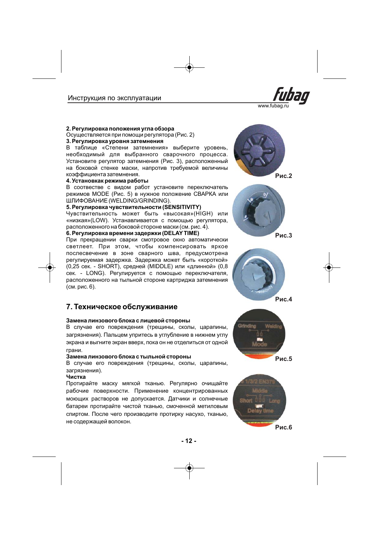

#### **2. Регулировка положения угла обзора**

**3. Регулировка уровня затемнения** Осуществляется при помощи регулятора (Рис. 2)

В таблице «Степени затемнения» выберите уровень, необходимый для выбранного сварочного процесса. Установите регулятор затемнения (Рис. 3), расположенный на боковой стенке маски, напротив требуемой величины коэффициента затемнения.

#### **4. Установкак режима работы**

В соотвестве с видом работ установите переключатель режимов MODE (Рис. 5) в нужное положение CBAPKA или ШЛИФОВАНИЕ (WELDING/GRINDING).

#### **5. Регулировка чувствительности (SENSITIVITY)**

Чувствительность может быть «высокая»(HIGH) или «низкая»(LOW). Устанавливается с помощью регулятора, расположенного на боковой стороне маски (см. рис. 4).

#### **. Регулировка времени задержки (DELAY TIME) 6**

При прекращении сварки смотровое окно автоматически светлеет. При этом, чтобы компенсировать яркое послесвечение в зоне сварного шва, предусмотрена регулируемая задержка. Задержка может быть «короткой» (0,25 сек. - SHORT), средней (MIDDLE) или «длинной» (0,8 сек. - LONG). Регулируется с помощью переключателя, расположенного на тыльной стороне картриджа затемнения (см. рис. 6).

### **7. Техническое обслуживание**

#### **Замена линзового блока с лицевой стороны**

В случае его повреждения (трещины, сколы, царапины, загрязнения). Пальцем упритесь в углубление в нижнем углу экрана и выгните экран вверх, пока он не отделиться от одной грани.

#### **Замена линзового блока с тыльной стороны**

В случае его повреждения (трещины, сколы, царапины, загрязнения).

#### **Чистка**

Протирайте маску мягкой тканью. Регулярно очищайте рабочие поверхности. Применение концентрированных моющих растворов не допускается. Датчики и солнечные батареи протирайте чистой тканью, смоченной метиловым спиртом. После чего производите протирку насухо, тканью, не содержащей волокон.







**Рис.3**





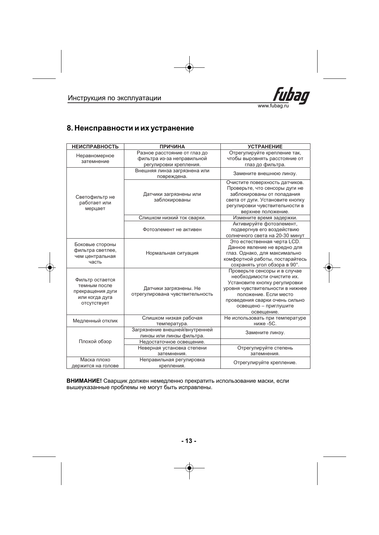

### **8. Неисправности и их устранение**

| <b>НЕИСПРАВНОСТЬ</b>                                                                 | <b>ПРИЧИНА</b>                                                                       | <b>УСТРАНЕНИЕ</b>                                                                                                                                                                                                                 |  |  |
|--------------------------------------------------------------------------------------|--------------------------------------------------------------------------------------|-----------------------------------------------------------------------------------------------------------------------------------------------------------------------------------------------------------------------------------|--|--|
| Неравномерное<br>затемнение                                                          | Разное расстояние от глаз до<br>фильтра из-за неправильной<br>регулировки крепления. | Отрегулируйте крепление так,<br>чтобы выровнять расстояние от<br>глаз до фильтра.                                                                                                                                                 |  |  |
|                                                                                      | Внешняя линза загрязнена или<br>повреждена.                                          | Замените внешнюю линзу.                                                                                                                                                                                                           |  |  |
| Светофильтр не<br>работает или<br>мерцает                                            | Датчики загрязнены или<br>заблокированы                                              | Очистите поверхность датчиков.<br>Проверьте, что сенсоры дуги не<br>заблокированы от попадания<br>света от дуги. Установите кнопку<br>регулировки чувствительности в<br>верхнее положение.                                        |  |  |
|                                                                                      | Слишком низкий ток сварки.                                                           | Измените время задержки.                                                                                                                                                                                                          |  |  |
|                                                                                      | Фотоэлемент не активен                                                               | Активируйте фотоэлемент,<br>подвергнув его воздействию<br>солнечного света на 20-30 минут                                                                                                                                         |  |  |
| Боковые стороны<br>фильтра светлее,<br>чем центральная<br>часть                      | Нормальная ситуация                                                                  | Это естественная черта LCD.<br>Данное явление не вредно для<br>глаз. Однако, для максимально<br>комфортной работы, постарайтесь<br>сохранять угол обзора в 90°.                                                                   |  |  |
| Фильтр остается<br>темным после<br>прекращения дуги<br>или когда дуга<br>отсутствует | Датчики загрязнены. Не<br>отрегулирована чувствительность                            | Проверьте сенсоры и в случае<br>необходимости очистите их.<br>Установите кнопку регулировки<br>уровня чувствительности в нижнее<br>положение. Если место<br>проведения сварки очень сильно<br>освещено - приглушите<br>освещение. |  |  |
| Медленный отклик                                                                     | Слишком низкая рабочая<br>температура.                                               | Не использовать при температуре<br>ниже -5С.                                                                                                                                                                                      |  |  |
| Плохой обзор                                                                         | Загрязнение внешней/внутренней<br>линзы или линзы фильтра.                           | Замените линзу.                                                                                                                                                                                                                   |  |  |
|                                                                                      | Недостаточное освещение.<br>Неверная установка степени<br>затемнения.                | Отрегулируйте степень<br>затемнения.                                                                                                                                                                                              |  |  |
| Маска плохо<br>держится на голове                                                    | Неправильная регулировка<br>крепления.                                               | Отрегулируйте крепление.                                                                                                                                                                                                          |  |  |

ВНИМАНИЕ! Сварщик должен немедленно прекратить использование маски, если . вышеуказанные проблемы не могут быть исправлены